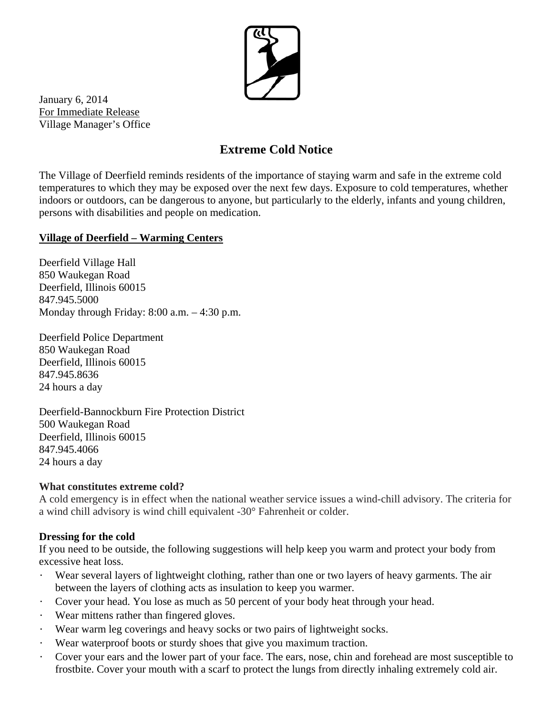

January 6, 2014 For Immediate Release Village Manager's Office

# **Extreme Cold Notice**

The Village of Deerfield reminds residents of the importance of staying warm and safe in the extreme cold temperatures to which they may be exposed over the next few days. Exposure to cold temperatures, whether indoors or outdoors, can be dangerous to anyone, but particularly to the elderly, infants and young children, persons with disabilities and people on medication.

### **Village of Deerfield – Warming Centers**

Deerfield Village Hall 850 Waukegan Road Deerfield, Illinois 60015 847.945.5000 Monday through Friday: 8:00 a.m. – 4:30 p.m.

Deerfield Police Department 850 Waukegan Road Deerfield, Illinois 60015 847.945.8636 24 hours a day

Deerfield-Bannockburn Fire Protection District 500 Waukegan Road Deerfield, Illinois 60015 847.945.4066 24 hours a day

#### **What constitutes extreme cold?**

A cold emergency is in effect when the national weather service issues a wind-chill advisory. The criteria for a wind chill advisory is wind chill equivalent -30° Fahrenheit or colder.

#### **Dressing for the cold**

If you need to be outside, the following suggestions will help keep you warm and protect your body from excessive heat loss.

- Wear several layers of lightweight clothing, rather than one or two layers of heavy garments. The air between the layers of clothing acts as insulation to keep you warmer.
- ・ Cover your head. You lose as much as 50 percent of your body heat through your head.
- ・ Wear mittens rather than fingered gloves.
- Wear warm leg coverings and heavy socks or two pairs of lightweight socks.
- ・ Wear waterproof boots or sturdy shoes that give you maximum traction.
- Cover your ears and the lower part of your face. The ears, nose, chin and forehead are most susceptible to frostbite. Cover your mouth with a scarf to protect the lungs from directly inhaling extremely cold air.